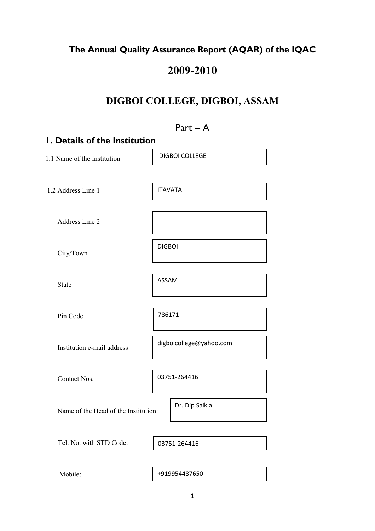### **The Annual Quality Assurance Report (AQAR) of the IQAC**

# **2009-2010**

## **DIGBOI COLLEGE, DIGBOI, ASSAM**

# Part – A **1. Details of the Institution**  1.1 Name of the Institution 1.2 Address Line 1 Address Line 2 City/Town State Pin Code Institution e-mail address Contact Nos. Name of the Head of the Institution: Tel. No. with STD Code: Mobile: 03751-264416 DIGBOI COLLEGE ITAVATA DIGBOI ASSAM 786171 digboicollege@yahoo.com Dr. Dip Saikia +919954487650 03751-264416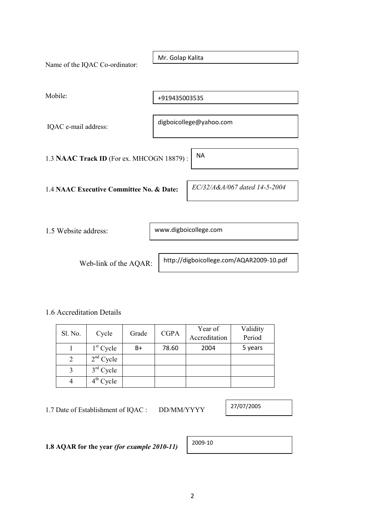| Name of the IQAC Co-ordinator:                         | Mr. Golap Kalita        |                               |  |  |  |  |
|--------------------------------------------------------|-------------------------|-------------------------------|--|--|--|--|
| Mobile:                                                | +919435003535           |                               |  |  |  |  |
| IQAC e-mail address:                                   | digboicollege@yahoo.com |                               |  |  |  |  |
| <b>NA</b><br>1.3 NAAC Track ID (For ex. MHCOGN 18879): |                         |                               |  |  |  |  |
| 1.4 NAAC Executive Committee No. & Date:               |                         | EC/32/A&A/067 dated 14-5-2004 |  |  |  |  |
| 1.5 Website address:                                   | www.digboicollege.com   |                               |  |  |  |  |
|                                                        |                         |                               |  |  |  |  |

1.6 Accreditation Details

|         | Cycle       | Grade | <b>CGPA</b> | Year of       | Validity |
|---------|-------------|-------|-------------|---------------|----------|
| Sl. No. |             |       |             | Accreditation | Period   |
|         | $1st$ Cycle | B+    | 78.60       | 2004          | 5 years  |
|         | $2nd$ Cycle |       |             |               |          |
|         | $3rd$ Cycle |       |             |               |          |
|         | $4th$ Cycle |       |             |               |          |

1.7 Date of Establishment of IQAC : DD/MM/YYYY

Web-link of the AQAR:

27/07/2005

http://digboicollege.com/AQAR2009-10.pdf

**1.8 AQAR for the year** *(for example 2010-11)*

| 2009-10 |
|---------|
|---------|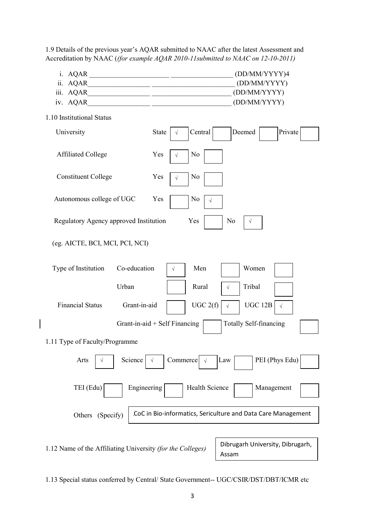Accreditation by NAAC (*(for example AQAR 2010-11submitted to NAAC on 12-10-2011)* i. AQAR \_\_\_\_\_\_\_\_\_\_\_\_\_\_\_\_\_\_\_\_\_\_\_ \_\_\_\_\_\_\_\_\_\_\_\_\_\_\_\_\_\_ (DD/MM/YYYY)4 ii. AQAR (DD/MM/YYYY) iii. AQAR\_\_\_\_\_\_\_\_\_\_\_\_\_\_\_\_\_\_ \_\_\_\_\_\_\_\_\_\_\_\_\_\_\_\_\_\_\_\_\_\_\_ (DD/MM/YYYY) iv. AQAR\_\_\_\_\_\_\_\_\_\_\_\_\_\_\_\_\_\_ \_\_\_\_\_\_\_\_\_\_\_\_\_\_\_\_\_\_\_\_\_\_\_ (DD/MM/YYYY) 1.10 Institutional Status University State  $\vert \sqrt{\vert}$  Central Deemed Private Affiliated College  $Yes \mid \sqrt{N_0}$ Constituent College  $Yes \rightarrow No$ Autonomous college of UGC Yes No Regulatory Agency approved Institution Yes No (eg. AICTE, BCI, MCI, PCI, NCI) Type of Institution Co-education  $\vert \vee \vert$  Men  $\vert$  Women Urban | Rural | Tribal Financial Status Grant-in-aid UGC 2(f)  $\sqrt{ }$ Grant-in-aid + Self Financing  $\Box$  Totally Self-financing 1.11 Type of Faculty/Programme Arts  $\vert \vee \vert$  Science  $\vert \vee \vert$  Commerce  $\vert \vee \vert$  Law PEI (Phys Edu) TEI (Edu) | Engineering | Health Science | Management Others (Specify) 1.12 Name of the Affiliating University *(for the Colleges)* √ CoC in Bio-informatics, Sericulture and Data Care Management Commerce √ UGC 12B  $\vert \sqrt{ } \vert$ Dibrugarh University, Dibrugarh, Assam √ √ √ √ √

1.9 Details of the previous year's AQAR submitted to NAAC after the latest Assessment and

1.13 Special status conferred by Central/ State Government-- UGC/CSIR/DST/DBT/ICMR etc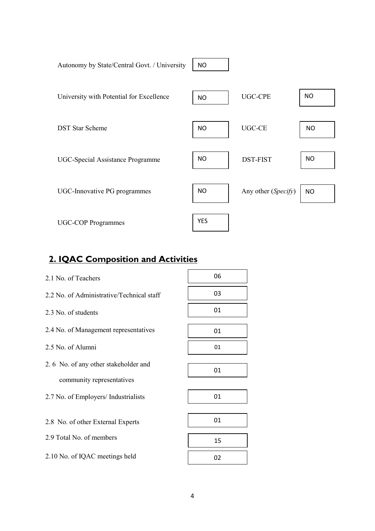| Autonomy by State/Central Govt. / University | <b>NO</b>  |                     |           |
|----------------------------------------------|------------|---------------------|-----------|
| University with Potential for Excellence     | <b>NO</b>  | <b>UGC-CPE</b>      | <b>NO</b> |
| <b>DST Star Scheme</b>                       | <b>NO</b>  | <b>UGC-CE</b>       | <b>NO</b> |
| <b>UGC-Special Assistance Programme</b>      | <b>NO</b>  | <b>DST-FIST</b>     | <b>NO</b> |
| UGC-Innovative PG programmes                 | <b>NO</b>  | Any other (Specify) | <b>NO</b> |
| <b>UGC-COP Programmes</b>                    | <b>YES</b> |                     |           |
|                                              |            |                     |           |

## **2. IQAC Composition and Activities**

| 2.1 No. of Teachers                       | 06 |
|-------------------------------------------|----|
| 2.2 No. of Administrative/Technical staff | 03 |
| 2.3 No. of students                       | 01 |
| 2.4 No. of Management representatives     | 01 |
| 2.5 No. of Alumni                         | 01 |
| 2.6 No. of any other stakeholder and      |    |
| community representatives                 | 01 |
| 2.7 No. of Employers/ Industrialists      | 01 |
|                                           |    |
| 2.8 No. of other External Experts         | 01 |
| 2.9 Total No. of members                  | 15 |
| 2.10 No. of IQAC meetings held            | 02 |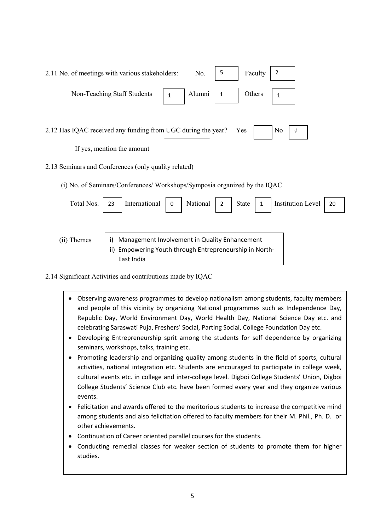| 2.11 No. of meetings with various stakeholders:                                                                     | 5<br>2<br>No.<br>Faculty |  |  |  |  |  |  |  |
|---------------------------------------------------------------------------------------------------------------------|--------------------------|--|--|--|--|--|--|--|
| Alumni<br>Non-Teaching Staff Students<br>$\mathbf{1}$                                                               | Others                   |  |  |  |  |  |  |  |
| 2.12 Has IQAC received any funding from UGC during the year?<br>N <sub>0</sub><br>Yes<br>If yes, mention the amount |                          |  |  |  |  |  |  |  |
| 2.13 Seminars and Conferences (only quality related)                                                                |                          |  |  |  |  |  |  |  |

(i) No. of Seminars/Conferences/ Workshops/Symposia organized by the IQAC

| Total Nos. 23 |  |  |  | International   0   National   2   State   1   Institution Level   20 |  |
|---------------|--|--|--|-----------------------------------------------------------------------|--|
|               |  |  |  |                                                                       |  |
|               |  |  |  |                                                                       |  |

i) Management Involvement in Quality Enhancement ii) Empowering Youth through Entrepreneurship in North-East India

2.14 Significant Activities and contributions made by IQAC

(ii) Themes

- Observing awareness programmes to develop nationalism among students, faculty members and people of this vicinity by organizing National programmes such as Independence Day, Republic Day, World Environment Day, World Health Day, National Science Day etc. and celebrating Saraswati Puja, Freshers' Social, Parting Social, College Foundation Day etc.
- Developing Entrepreneurship sprit among the students for self dependence by organizing seminars, workshops, talks, training etc.
- Promoting leadership and organizing quality among students in the field of sports, cultural activities, national integration etc. Students are encouraged to participate in college week, cultural events etc. in college and inter-college level. Digboi College Students' Union, Digboi College Students' Science Club etc. have been formed every year and they organize various events.
- Felicitation and awards offered to the meritorious students to increase the competitive mind among students and also felicitation offered to faculty members for their M. Phil., Ph. D. or other achievements.
- Continuation of Career oriented parallel courses for the students.
- Conducting remedial classes for weaker section of students to promote them for higher studies.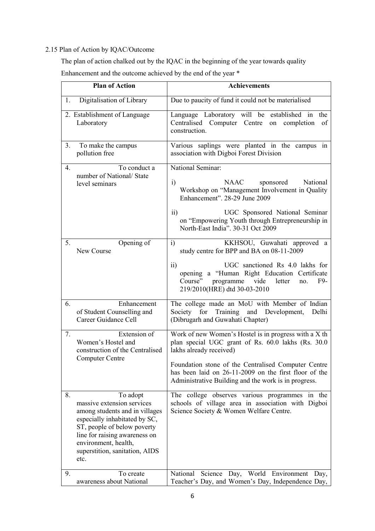#### 2.15 Plan of Action by IQAC/Outcome

 The plan of action chalked out by the IQAC in the beginning of the year towards quality Enhancement and the outcome achieved by the end of the year \*

|                  | <b>Plan of Action</b>                                                                                                                                                                                                                       | <b>Achievements</b>                                                                                                                                                                                                                                                                                            |
|------------------|---------------------------------------------------------------------------------------------------------------------------------------------------------------------------------------------------------------------------------------------|----------------------------------------------------------------------------------------------------------------------------------------------------------------------------------------------------------------------------------------------------------------------------------------------------------------|
| 1.               | Digitalisation of Library                                                                                                                                                                                                                   | Due to paucity of fund it could not be materialised                                                                                                                                                                                                                                                            |
|                  | 2. Establishment of Language<br>Laboratory                                                                                                                                                                                                  | Language Laboratory will be established in<br>the<br>Centralised Computer Centre<br>completion<br>of<br>on<br>construction.                                                                                                                                                                                    |
| 3.               | To make the campus<br>pollution free                                                                                                                                                                                                        | Various saplings were planted in the campus in<br>association with Digboi Forest Division                                                                                                                                                                                                                      |
| $\overline{4}$ . | To conduct a<br>number of National/State<br>level seminars                                                                                                                                                                                  | National Seminar:<br>$\mathbf{i}$<br>NAAC<br>National<br>sponsored<br>Workshop on "Management Involvement in Quality<br>Enhancement". 28-29 June 2009<br>$\overline{11}$<br>UGC Sponsored National Seminar<br>on "Empowering Youth through Entrepreneurship in<br>North-East India". 30-31 Oct 2009            |
| 5.               | Opening of<br>New Course                                                                                                                                                                                                                    | KKHSOU, Guwahati approved a<br>$\overline{1}$<br>study centre for BPP and BA on 08-11-2009<br>$\overline{11}$<br>UGC sanctioned Rs 4.0 lakhs for<br>opening a "Human Right Education Certificate<br>vide<br>Course"<br>programme<br>letter<br>F9-<br>no.<br>219/2010(HRE) dtd 30-03-2010                       |
| 6.               | Enhancement<br>of Student Counselling and<br>Career Guidance Cell                                                                                                                                                                           | The college made an MoU with Member of Indian<br>Society for Training and Development,<br>Delhi<br>(Dibrugarh and Guwahati Chapter)                                                                                                                                                                            |
| 7.               | Extension of<br>Women's Hostel and<br>construction of the Centralised<br>Computer Centre                                                                                                                                                    | Work of new Women's Hostel is in progress with a X th<br>plan special UGC grant of Rs. 60.0 lakhs (Rs. 30.0<br>lakhs already received)<br>Foundation stone of the Centralised Computer Centre<br>has been laid on 26-11-2009 on the first floor of the<br>Administrative Building and the work is in progress. |
| 8.               | To adopt<br>massive extension services<br>among students and in villages<br>especially inhabitated by SC,<br>ST, people of below poverty<br>line for raising awareness on<br>environment, health,<br>superstition, sanitation, AIDS<br>etc. | The college observes various programmes in the<br>schools of village area in association with Digboi<br>Science Society & Women Welfare Centre.                                                                                                                                                                |
| 9.               | To create<br>awareness about National                                                                                                                                                                                                       | Science Day, World Environment Day,<br>National<br>Teacher's Day, and Women's Day, Independence Day,                                                                                                                                                                                                           |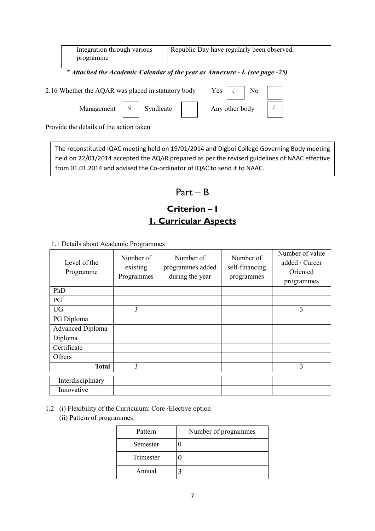| Integration through various<br>programme           | Republic Day have regularly been observed.                                   |
|----------------------------------------------------|------------------------------------------------------------------------------|
|                                                    | * Attached the Academic Calendar of the year as Annexure - I. (see page -25) |
| 2.16 Whether the AQAR was placed in statutory body | Yes $\vert \sqrt{}$ No                                                       |
| Syndicate<br>Management                            | Any other body                                                               |

Provide the details of the action taken

The reconstituted IQAC meeting held on 19/01/2014 and Digboi College Governing Body meeting held on 22/01/2014 accepted the AQAR prepared as per the revised guidelines of NAAC effective from 01.01.2014 and advised the Co-ordinator of IQAC to send it to NAAC.

### Part – B

# **Criterion – I 1. Curricular Aspects**

1.1 Details about Academic Programmes

| Level of the<br>Programme | Number of<br>existing<br>Programmes | Number of<br>programmes added<br>during the year | Number of<br>self-financing<br>programmes | Number of value<br>added / Career<br>Oriented<br>programmes |
|---------------------------|-------------------------------------|--------------------------------------------------|-------------------------------------------|-------------------------------------------------------------|
| PhD                       |                                     |                                                  |                                           |                                                             |
| PG                        |                                     |                                                  |                                           |                                                             |
| <b>UG</b>                 | 3                                   |                                                  |                                           | 3                                                           |
| PG Diploma                |                                     |                                                  |                                           |                                                             |
| <b>Advanced Diploma</b>   |                                     |                                                  |                                           |                                                             |
| Diploma                   |                                     |                                                  |                                           |                                                             |
| Certificate               |                                     |                                                  |                                           |                                                             |
| Others                    |                                     |                                                  |                                           |                                                             |
| <b>Total</b>              | 3                                   |                                                  |                                           | 3                                                           |
| Interdisciplinary         |                                     |                                                  |                                           |                                                             |
| Innovative                |                                     |                                                  |                                           |                                                             |

#### 1.2 (i) Flexibility of the Curriculum: Core /Elective option (ii) Pattern of programmes:

| Pattern   | Number of programmes |
|-----------|----------------------|
| Semester  |                      |
| Trimester |                      |
| Annual    |                      |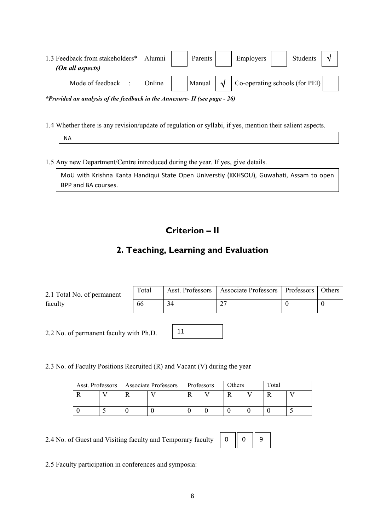| 1.3 Feedback from stakeholders* Alumni  <br>(On all aspects)                |        |  | Parents |  | Employers                                                  |  | Students |  |  |
|-----------------------------------------------------------------------------|--------|--|---------|--|------------------------------------------------------------|--|----------|--|--|
| Mode of feedback :                                                          | Online |  |         |  | Manual $\sqrt{\phantom{a}}$ Co-operating schools (for PEI) |  |          |  |  |
| *Provided an analysis of the feedback in the Annexure- II (see page $-26$ ) |        |  |         |  |                                                            |  |          |  |  |

1.4 Whether there is any revision/update of regulation or syllabi, if yes, mention their salient aspects.

NA

1.5 Any new Department/Centre introduced during the year. If yes, give details.

MoU with Krishna Kanta Handiqui State Open Universtiy (KKHSOU), Guwahati, Assam to open BPP and BA courses.

### **Criterion – II**

### **2. Teaching, Learning and Evaluation**

| 2.1 Total No. of permanent | Total | Asst. Professors   Associate Professors   Professors   Others |  |
|----------------------------|-------|---------------------------------------------------------------|--|
| faculty                    | 66    | ^^                                                            |  |

11

2.2 No. of permanent faculty with Ph.D.

2.3 No. of Faculty Positions Recruited (R) and Vacant (V) during the year

|  | Asst. Professors   Associate Professors | Professors | Others | Total |  |
|--|-----------------------------------------|------------|--------|-------|--|
|  |                                         |            |        |       |  |
|  |                                         |            |        |       |  |

2.4 No. of Guest and Visiting faculty and Temporary faculty

|--|--|--|

2.5 Faculty participation in conferences and symposia: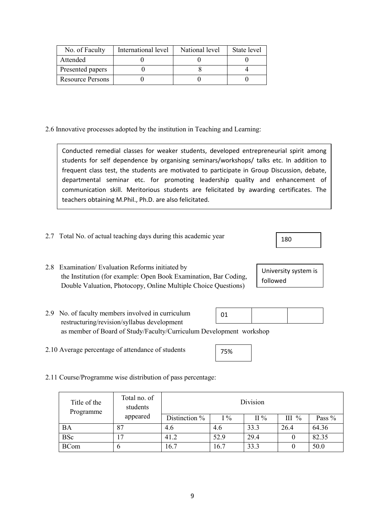| No. of Faculty          | International level | National level | State level |
|-------------------------|---------------------|----------------|-------------|
| Attended                |                     |                |             |
| Presented papers        |                     |                |             |
| <b>Resource Persons</b> |                     |                |             |

2.6 Innovative processes adopted by the institution in Teaching and Learning:

| Conducted remedial classes for weaker students, developed entrepreneurial spirit among      |
|---------------------------------------------------------------------------------------------|
| students for self dependence by organising seminars/workshops/ talks etc. In addition to    |
| frequent class test, the students are motivated to participate in Group Discussion, debate, |
| departmental seminar etc. for promoting leadership quality and enhancement of               |
| communication skill. Meritorious students are felicitated by awarding certificates. The     |
| teachers obtaining M.Phil., Ph.D. are also felicitated.                                     |

- 2.7 Total No. of actual teaching days during this academic year
- 2.8 Examination/ Evaluation Reforms initiated by the Institution (for example: Open Book Examination, Bar Coding, Double Valuation, Photocopy, Online Multiple Choice Questions)

| University system is |  |
|----------------------|--|
| followed             |  |

180

- 2.9 No. of faculty members involved in curriculum restructuring/revision/syllabus development as member of Board of Study/Faculty/Curriculum Development workshop 01
- 2.10 Average percentage of attendance of students

| 75% |  |
|-----|--|

2.11 Course/Programme wise distribution of pass percentage:

| Title of the<br>Programme | Total no. of<br>students | Division      |       |              |          |        |
|---------------------------|--------------------------|---------------|-------|--------------|----------|--------|
|                           | appeared                 | Distinction % | $1\%$ | $\rm II\,\%$ | III $\%$ | Pass % |
| <b>BA</b>                 | 87                       | 4.6           | 4.6   | 33.3         | 26.4     | 64.36  |
| <b>BSc</b>                | 17                       | 41.2          | 52.9  | 29.4         |          | 82.35  |
| <b>BCom</b>               |                          | 16.7          | 16.7  | 33.3         |          | 50.0   |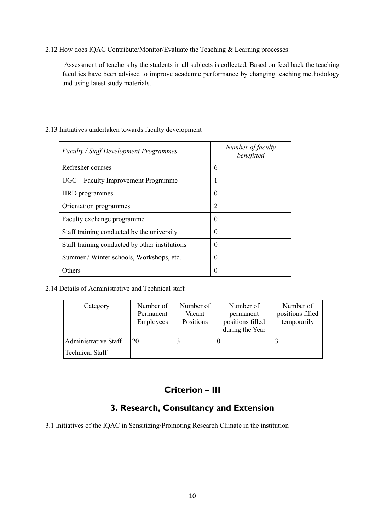2.12 How does IQAC Contribute/Monitor/Evaluate the Teaching & Learning processes:

 Assessment of teachers by the students in all subjects is collected. Based on feed back the teaching faculties have been advised to improve academic performance by changing teaching methodology and using latest study materials.

| <b>Faculty / Staff Development Programmes</b>  | Number of faculty<br>benefitted |
|------------------------------------------------|---------------------------------|
| Refresher courses                              | 6                               |
| UGC – Faculty Improvement Programme            |                                 |
| HRD programmes                                 | $\theta$                        |
| Orientation programmes                         | $\overline{2}$                  |
| Faculty exchange programme                     | $\theta$                        |
| Staff training conducted by the university     | 0                               |
| Staff training conducted by other institutions | 0                               |
| Summer / Winter schools, Workshops, etc.       | $\theta$                        |
| Others                                         | 0                               |

#### 2.13 Initiatives undertaken towards faculty development

2.14 Details of Administrative and Technical staff

| Category               | Number of<br>Permanent<br>Employees | Number of<br>Vacant<br>Positions | Number of<br>permanent<br>positions filled<br>during the Year | Number of<br>positions filled<br>temporarily |
|------------------------|-------------------------------------|----------------------------------|---------------------------------------------------------------|----------------------------------------------|
| Administrative Staff   | 20                                  |                                  |                                                               |                                              |
| <b>Technical Staff</b> |                                     |                                  |                                                               |                                              |

### **Criterion – III**

### **3. Research, Consultancy and Extension**

3.1 Initiatives of the IQAC in Sensitizing/Promoting Research Climate in the institution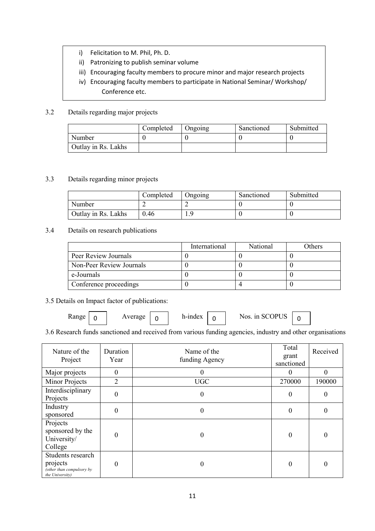- i) Felicitation to M. Phil, Ph. D.
- ii) Patronizing to publish seminar volume
- iii) Encouraging faculty members to procure minor and major research projects
- iv) Encouraging faculty members to participate in National Seminar/ Workshop/ Conference etc.

#### 3.2 Details regarding major projects

v)

|                     | Completed | Ongoing | Sanctioned | Submitted |
|---------------------|-----------|---------|------------|-----------|
| Number              |           |         |            |           |
| Outlay in Rs. Lakhs |           |         |            |           |

#### 3.3 Details regarding minor projects

|                     | Completed | Ongoing | Sanctioned | Submitted |
|---------------------|-----------|---------|------------|-----------|
| Number              |           |         |            |           |
| Outlay in Rs. Lakhs | ).46      | O       |            |           |

#### 3.4 Details on research publications

|                          | International | National | Others |
|--------------------------|---------------|----------|--------|
| Peer Review Journals     |               |          |        |
| Non-Peer Review Journals |               |          |        |
| e-Journals               |               |          |        |
| Conference proceedings   |               |          |        |

3.5 Details on Impact factor of publications:

Range Average h-index Nos. in SCOPUS 0 0 0 0

3.6 Research funds sanctioned and received from various funding agencies, industry and other organisations

| Nature of the<br>Project                                                      | Duration<br>Year | Name of the<br>funding Agency | Total<br>grant<br>sanctioned | Received |
|-------------------------------------------------------------------------------|------------------|-------------------------------|------------------------------|----------|
| Major projects                                                                | $\theta$         | $\theta$                      | $\Omega$                     | $\theta$ |
| Minor Projects                                                                | $\overline{2}$   | <b>UGC</b>                    | 270000                       | 190000   |
| Interdisciplinary<br>Projects                                                 | $\boldsymbol{0}$ | $\mathbf{0}$                  | $\overline{0}$               | $\theta$ |
| Industry<br>sponsored                                                         | $\boldsymbol{0}$ | $\theta$                      | $\mathbf{0}$                 | $\theta$ |
| Projects<br>sponsored by the<br>University/<br>College                        | $\overline{0}$   | $\theta$                      | $\boldsymbol{0}$             | $\theta$ |
| Students research<br>projects<br>(other than compulsory by<br>the University) | 0                | $\theta$                      | $\overline{0}$               | 0        |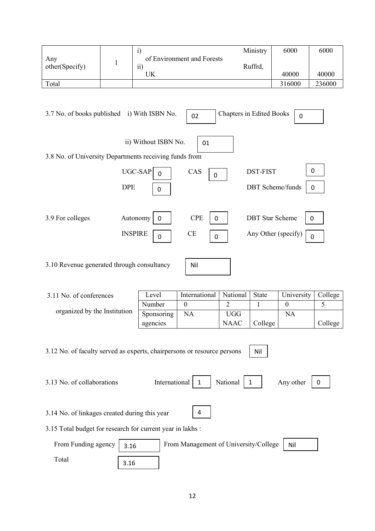|                                                                         |              | $\ddot{i}$                    |                                       |                                 | Ministry        | 6000                    | 6000        |
|-------------------------------------------------------------------------|--------------|-------------------------------|---------------------------------------|---------------------------------|-----------------|-------------------------|-------------|
| Any<br>other(Specify)                                                   | $\mathbf{1}$ | $\overline{ii}$               | of Environment and Forests            |                                 | Ruffrd,         |                         |             |
|                                                                         |              | UK                            |                                       |                                 |                 | 40000                   | 40000       |
| Total                                                                   |              |                               |                                       |                                 |                 | 316000                  | 236000      |
| 3.7 No. of books published                                              |              | i) With ISBN No.              | 02                                    | <b>Chapters in Edited Books</b> |                 | $\mathbf 0$             |             |
|                                                                         |              | ii) Without ISBN No.          | 01                                    |                                 |                 |                         |             |
| 3.8 No. of University Departments receiving funds from                  |              |                               |                                       |                                 |                 |                         |             |
|                                                                         |              | UGC-SAP<br>$\overline{0}$     | CAS<br>$\boldsymbol{0}$               |                                 | <b>DST-FIST</b> |                         | 0           |
|                                                                         | <b>DPE</b>   | $\mathbf 0$                   |                                       |                                 |                 | <b>DBT</b> Scheme/funds | $\mathbf 0$ |
|                                                                         |              |                               |                                       |                                 |                 |                         |             |
| 3.9 For colleges                                                        |              | Autonomy<br>$\boldsymbol{0}$  | <b>CPE</b><br>$\mathbf 0$             |                                 |                 | <b>DBT</b> Star Scheme  | 0           |
|                                                                         |              | <b>INSPIRE</b><br>$\mathbf 0$ | <b>CE</b><br>$\pmb{0}$                |                                 |                 | Any Other (specify)     | $\mathbf 0$ |
|                                                                         |              |                               |                                       |                                 |                 |                         |             |
| 3.10 Revenue generated through consultancy                              |              |                               | Nil                                   |                                 |                 |                         |             |
|                                                                         |              |                               |                                       |                                 |                 |                         |             |
| 3.11 No. of conferences                                                 |              | Level                         | International                         | National                        | State           | University              | College     |
|                                                                         |              | Number                        | $\overline{0}$                        | $\overline{2}$                  | $\mathbf{1}$    | $\boldsymbol{0}$        | 5           |
| organized by the Institution                                            |              | Sponsoring<br>agencies        | <b>NA</b>                             | <b>UGG</b><br><b>NAAC</b>       | College         | NA                      | College     |
|                                                                         |              |                               |                                       |                                 |                 |                         |             |
| 3.12 No. of faculty served as experts, chairpersons or resource persons |              |                               |                                       |                                 | Nil             |                         |             |
|                                                                         |              |                               |                                       |                                 |                 |                         |             |
| 3.13 No. of collaborations                                              |              | International                 | $\mathbf{1}$                          | National                        | 1               | Any other               | 0           |
|                                                                         |              |                               |                                       |                                 |                 |                         |             |
| 3.14 No. of linkages created during this year                           |              |                               | 4                                     |                                 |                 |                         |             |
| 3.15 Total budget for research for current year in lakhs :              |              |                               |                                       |                                 |                 |                         |             |
| From Funding agency                                                     | 3.16         |                               | From Management of University/College |                                 |                 | Nil                     |             |
| Total                                                                   | 3.16         |                               |                                       |                                 |                 |                         |             |
|                                                                         |              |                               |                                       |                                 |                 |                         |             |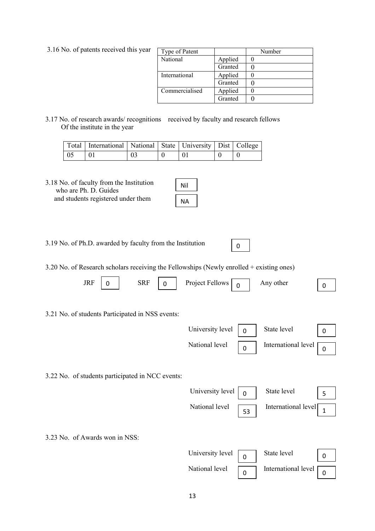| Type of Patent |         | Number |
|----------------|---------|--------|
| National       | Applied |        |
|                | Granted |        |
| International  | Applied |        |
|                | Granted |        |
| Commercialised | Applied |        |
|                | Granted |        |

0

3.17 No. of research awards/ recognitions received by faculty and research fellows Of the institute in the year

|      | Total   International   National   State   University   Dist   College |    |  |  |
|------|------------------------------------------------------------------------|----|--|--|
| - 05 |                                                                        | 03 |  |  |

3.18 No. of faculty from the Institution who are Ph. D. Guides and students registered under them

| ۱il |  |
|-----|--|
| ப   |  |

3.19 No. of Ph.D. awarded by faculty from the Institution

3.20 No. of Research scholars receiving the Fellowships (Newly enrolled + existing ones)

| <b>JRF</b>                     | 0 | <b>SRF</b>                                       | $\mathbf 0$ | Project Fellows  | 0           | Any other           | 0        |
|--------------------------------|---|--------------------------------------------------|-------------|------------------|-------------|---------------------|----------|
|                                |   | 3.21 No. of students Participated in NSS events: |             |                  |             |                     |          |
|                                |   |                                                  |             | University level | $\Omega$    | State level         | $\Omega$ |
|                                |   |                                                  |             | National level   | $\mathbf 0$ | International level | 0        |
|                                |   | 3.22 No. of students participated in NCC events: |             |                  |             |                     |          |
|                                |   |                                                  |             | University level | $\Omega$    | State level         | 5        |
|                                |   |                                                  |             | National level   | 53          | International level | 1        |
| 3.23 No. of Awards won in NSS: |   |                                                  |             |                  |             |                     |          |

| University level $\boxed{0}$<br>State level                             |  |
|-------------------------------------------------------------------------|--|
| National level $\boxed{0}$<br>International level $\boxed{\phantom{a}}$ |  |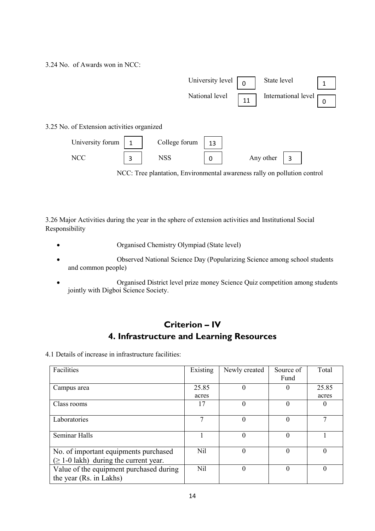3.24 No. of Awards won in NCC:



3.26 Major Activities during the year in the sphere of extension activities and Institutional Social Responsibility

- Organised Chemistry Olympiad (State level)
- Observed National Science Day (Popularizing Science among school students and common people)
- Organised District level prize money Science Quiz competition among students jointly with Digboi Science Society.

### **Criterion – IV 4. Infrastructure and Learning Resources**

4.1 Details of increase in infrastructure facilities:

| Facilities                                                         | Existing | Newly created | Source of<br>Fund | Total    |
|--------------------------------------------------------------------|----------|---------------|-------------------|----------|
| Campus area                                                        | 25.85    | 0             | $\theta$          | 25.85    |
|                                                                    | acres    |               |                   | acres    |
| Class rooms                                                        | 17       | 0             | $\theta$          | $\theta$ |
| Laboratories                                                       |          | 0             | 0                 |          |
| Seminar Halls                                                      |          | $\theta$      | 0                 |          |
| No. of important equipments purchased                              | Nil      | $\Omega$      | 0                 | $\Omega$ |
| $(\geq 1$ -0 lakh) during the current year.                        |          |               |                   |          |
| Value of the equipment purchased during<br>the year (Rs. in Lakhs) | Nil      | $\theta$      | 0                 | $\theta$ |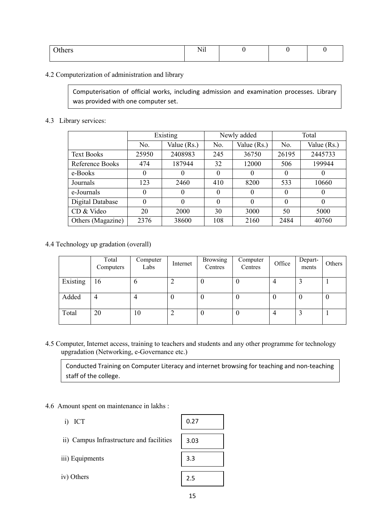| thers | $\mathbf{v}$<br>N11 |  |  |
|-------|---------------------|--|--|
|       |                     |  |  |

#### 4.2 Computerization of administration and library

Computerisation of official works, including admission and examination processes. Library was provided with one computer set.

#### 4.3 Library services:

|                   | Existing |             |          | Newly added | Total    |             |  |
|-------------------|----------|-------------|----------|-------------|----------|-------------|--|
|                   | No.      | Value (Rs.) | No.      | Value (Rs.) | No.      | Value (Rs.) |  |
| <b>Text Books</b> | 25950    | 2408983     | 245      | 36750       | 26195    | 2445733     |  |
| Reference Books   | 474      | 187944      | 32       | 12000       | 506      | 199944      |  |
| e-Books           | $\theta$ |             | $\Omega$ | $\theta$    | $\theta$ | $\theta$    |  |
| Journals          | 123      | 2460        | 410      | 8200        | 533      | 10660       |  |
| e-Journals        | $\theta$ |             | $\theta$ | 0           | $\theta$ | $\theta$    |  |
| Digital Database  | $\theta$ | $\theta$    | $\Omega$ | $\theta$    | $\Omega$ | $\theta$    |  |
| CD & Video        | 20       | 2000        | 30       | 3000        | 50       | 5000        |  |
| Others (Magazine) | 2376     | 38600       | 108      | 2160        | 2484     | 40760       |  |

#### 4.4 Technology up gradation (overall)

|          | Total<br>Computers | Computer<br>Labs | Internet | <b>Browsing</b><br>Centres | Computer<br>Centres | Office           | Depart-<br>ments | Others   |
|----------|--------------------|------------------|----------|----------------------------|---------------------|------------------|------------------|----------|
| Existing | 16                 | 6                |          | v                          |                     | 4                |                  |          |
| Added    | 4                  |                  |          | 0                          | O                   | $\boldsymbol{0}$ |                  | $\theta$ |
| Total    | 20                 | 10               |          |                            | 0                   | 4                |                  |          |

4.5 Computer, Internet access, training to teachers and students and any other programme for technology upgradation (Networking, e-Governance etc.)

Conducted Training on Computer Literacy and internet browsing for teaching and non-teaching staff of the college.

#### 4.6 Amount spent on maintenance in lakhs :

 i) ICT ii) Campus Infrastructure and facilities iii) Equipments iv) Others 0.27 3.03 3.3 2.5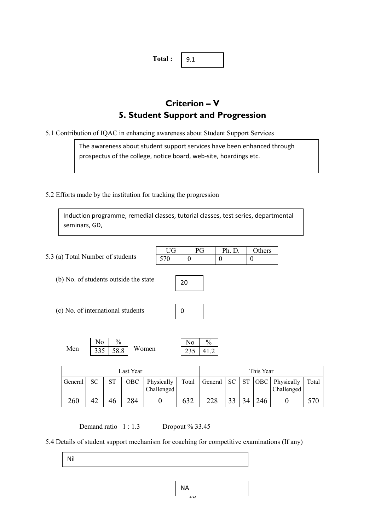**Total :**  9.1

### **Criterion – V 5. Student Support and Progression**

5.1 Contribution of IQAC in enhancing awareness about Student Support Services

The awareness about student support services have been enhanced through prospectus of the college, notice board, web-site, hoardings etc.

5.2 Efforts made by the institution for tracking the progression

Induction programme, remedial classes, tutorial classes, test series, departmental seminars, GD,

|                                  | UG  | Ph. D.   Others |  |
|----------------------------------|-----|-----------------|--|
| 5.3 (a) Total Number of students | 570 |                 |  |

- (b) No. of students outside the state
- (c) No. of international students

| 0 |  |
|---|--|
|   |  |

20

|     | N٥       | $\frac{v}{0}$ |       |
|-----|----------|---------------|-------|
| Men | 335 58.8 |               | Women |

| Last Year |    |    |     |                          |       |         |     | This Year |     |                          |       |
|-----------|----|----|-----|--------------------------|-------|---------|-----|-----------|-----|--------------------------|-------|
| General   | SC | ST | OBC | Physically<br>Challenged | Total | General | SC. | ST.       | OBC | Physically<br>Challenged | Total |
| 260       | 42 | 46 | 284 |                          | 632   |         | າາ  | 34        | 246 |                          | 570   |

Demand ratio  $1:1.3$  Dropout % 33.45

5.4 Details of student support mechanism for coaching for competitive examinations (If any)

Nil

$$
\begin{array}{c}\n\mathsf{NA} \\
\hline\n\mathsf{1}\mathsf{0}\n\end{array}
$$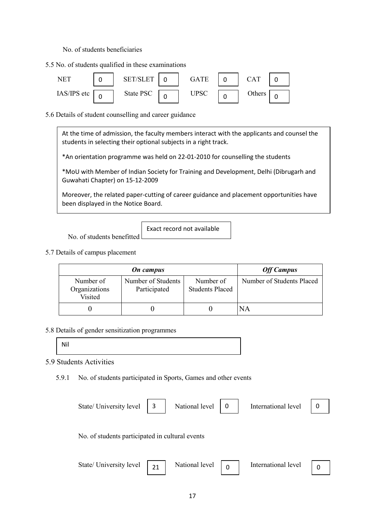No. of students beneficiaries

5.5 No. of students qualified in these examinations



5.6 Details of student counselling and career guidance

At the time of admission, the faculty members interact with the applicants and counsel the students in selecting their optional subjects in a right track.

\*An orientation programme was held on 22-01-2010 for counselling the students

\*MoU with Member of Indian Society for Training and Development, Delhi (Dibrugarh and Guwahati Chapter) on 15-12-2009

Moreover, the related paper-cutting of career guidance and placement opportunities have been displayed in the Notice Board.

Exact record not available

No. of students benefitted

5.7 Details of campus placement

|                                       | <b>Off Campus</b>                  |                                     |                           |
|---------------------------------------|------------------------------------|-------------------------------------|---------------------------|
| Number of<br>Organizations<br>Visited | Number of Students<br>Participated | Number of<br><b>Students Placed</b> | Number of Students Placed |
|                                       |                                    |                                     | ΝA                        |

5.8 Details of gender sensitization programmes

Nil

5.9 Students Activities

5.9.1 No. of students participated in Sports, Games and other events

| State/ University level | 3                                               | National level |   | International level |  |  |
|-------------------------|-------------------------------------------------|----------------|---|---------------------|--|--|
|                         |                                                 |                |   |                     |  |  |
|                         | No. of students participated in cultural events |                |   |                     |  |  |
| State/ University level | 21                                              | National level | 0 | International level |  |  |
|                         |                                                 |                |   |                     |  |  |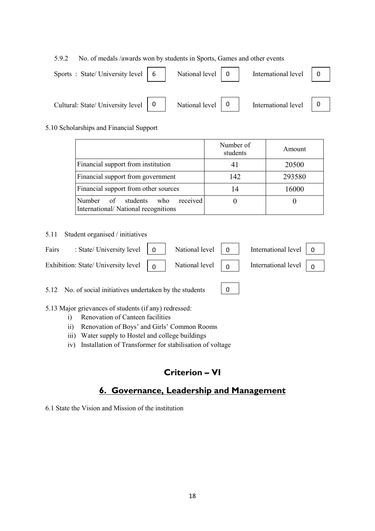5.9.2 No. of medals /awards won by students in Sports, Games and other events

| Sports: State/University level   6    | National level | International level |  |
|---------------------------------------|----------------|---------------------|--|
|                                       |                |                     |  |
| Cultural: State/ University level   0 | National level | International level |  |

#### 5.10 Scholarships and Financial Support

|                                                                           | Number of<br>students | Amount |
|---------------------------------------------------------------------------|-----------------------|--------|
| Financial support from institution                                        | 41                    | 20500  |
| Financial support from government                                         | 142                   | 293580 |
| Financial support from other sources                                      | 14                    | 16000  |
| received<br>Number of students who<br>International/National recognitions |                       |        |

5.11 Student organised / initiatives

| Fairs : State/University level $\begin{vmatrix} 0 \\ 1 \end{vmatrix}$ National level $\begin{vmatrix} 0 \\ 0 \end{vmatrix}$ International level $\begin{vmatrix} 0 \\ 1 \end{vmatrix}$      |  |  |  |
|---------------------------------------------------------------------------------------------------------------------------------------------------------------------------------------------|--|--|--|
| Exhibition: State/ University level $\begin{bmatrix} 0 \\ 0 \end{bmatrix}$ National level $\begin{bmatrix} 0 \\ 0 \end{bmatrix}$ International level $\begin{bmatrix} 0 \\ 0 \end{bmatrix}$ |  |  |  |

0

5.12 No. of social initiatives undertaken by the students

- 5.13 Major grievances of students (if any) redressed:
	- i) Renovation of Canteen facilities
	- ii) Renovation of Boys' and Girls' Common Rooms
	- iii) Water supply to Hostel and college buildings
	- iv) Installation of Transformer for stabilisation of voltage

### **Criterion – VI**

### **6. Governance, Leadership and Management**

6.1 State the Vision and Mission of the institution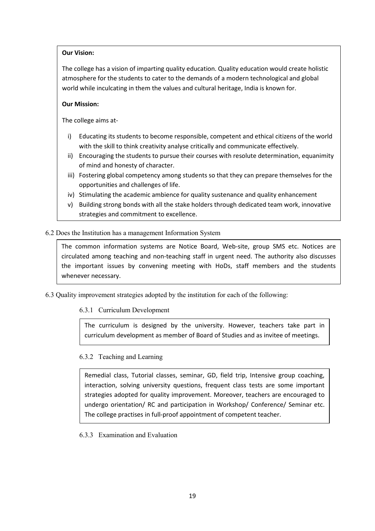#### **Our Vision:**

The college has a vision of imparting quality education. Quality education would create holistic atmosphere for the students to cater to the demands of a modern technological and global world while inculcating in them the values and cultural heritage, India is known for.

#### **Our Mission:**

The college aims at-

- i) Educating its students to become responsible, competent and ethical citizens of the world with the skill to think creativity analyse critically and communicate effectively.
- ii) Encouraging the students to pursue their courses with resolute determination, equanimity of mind and honesty of character.
- iii) Fostering global competency among students so that they can prepare themselves for the opportunities and challenges of life.
- iv) Stimulating the academic ambience for quality sustenance and quality enhancement
- v) Building strong bonds with all the stake holders through dedicated team work, innovative strategies and commitment to excellence.

#### 6.2 Does the Institution has a management Information System

The common information systems are Notice Board, Web-site, group SMS etc. Notices are circulated among teaching and non-teaching staff in urgent need. The authority also discusses the important issues by convening meeting with HoDs, staff members and the students whenever necessary.

6.3 Quality improvement strategies adopted by the institution for each of the following:

#### 6.3.1 Curriculum Development

The curriculum is designed by the university. However, teachers take part in curriculum development as member of Board of Studies and as invitee of meetings.

#### 6.3.2 Teaching and Learning

Remedial class, Tutorial classes, seminar, GD, field trip, Intensive group coaching, interaction, solving university questions, frequent class tests are some important strategies adopted for quality improvement. Moreover, teachers are encouraged to undergo orientation/ RC and participation in Workshop/ Conference/ Seminar etc. The college practises in full-proof appointment of competent teacher.

6.3.3 Examination and Evaluation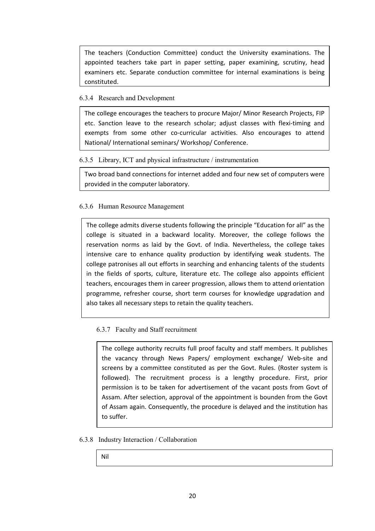The teachers (Conduction Committee) conduct the University examinations. The appointed teachers take part in paper setting, paper examining, scrutiny, head examiners etc. Separate conduction committee for internal examinations is being constituted.

#### 6.3.4 Research and Development

The college encourages the teachers to procure Major/ Minor Research Projects, FIP etc. Sanction leave to the research scholar; adjust classes with flexi-timing and exempts from some other co-curricular activities. Also encourages to attend National/ International seminars/ Workshop/ Conference.

#### 6.3.5 Library, ICT and physical infrastructure / instrumentation

Two broad band connections for internet added and four new set of computers were provided in the computer laboratory.

#### 6.3.6 Human Resource Management

The college admits diverse students following the principle "Education for all" as the college is situated in a backward locality. Moreover, the college follows the reservation norms as laid by the Govt. of India. Nevertheless, the college takes intensive care to enhance quality production by identifying weak students. The college patronises all out efforts in searching and enhancing talents of the students in the fields of sports, culture, literature etc. The college also appoints efficient teachers, encourages them in career progression, allows them to attend orientation programme, refresher course, short term courses for knowledge upgradation and also takes all necessary steps to retain the quality teachers.

#### 6.3.7 Faculty and Staff recruitment

The college authority recruits full proof faculty and staff members. It publishes the vacancy through News Papers/ employment exchange/ Web-site and screens by a committee constituted as per the Govt. Rules. (Roster system is followed). The recruitment process is a lengthy procedure. First, prior permission is to be taken for advertisement of the vacant posts from Govt of Assam. After selection, approval of the appointment is bounden from the Govt of Assam again. Consequently, the procedure is delayed and the institution has to suffer.

#### 6.3.8 Industry Interaction / Collaboration

Nil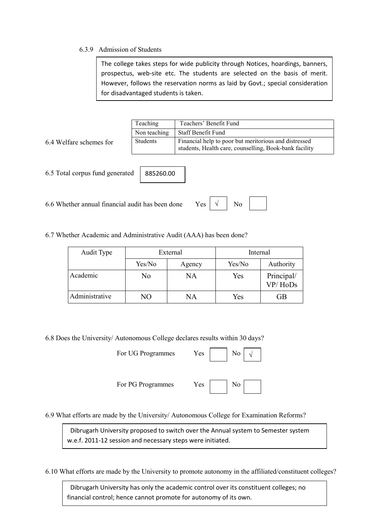#### 6.3.9 Admission of Students

The college takes steps for wide publicity through Notices, hoardings, banners, prospectus, web-site etc. The students are selected on the basis of merit. However, follows the reservation norms as laid by Govt.; special consideration for disadvantaged students is taken.

|                                 | Teaching        | Teachers' Benefit Fund                                 |  |  |  |
|---------------------------------|-----------------|--------------------------------------------------------|--|--|--|
|                                 | Non teaching    | Staff Benefit Fund                                     |  |  |  |
| 6.4 Welfare schemes for         | <b>Students</b> | Financial help to poor but meritorious and distressed  |  |  |  |
|                                 |                 | students, Health care, counselling, Book-bank facility |  |  |  |
|                                 |                 |                                                        |  |  |  |
|                                 |                 |                                                        |  |  |  |
| 6.5 Total corpus fund generated | 885260.00       |                                                        |  |  |  |
|                                 |                 |                                                        |  |  |  |

 $6.6$  Whether annual financial audit has been done Ye

| ⊃כ |  | Nο |  |
|----|--|----|--|
|----|--|----|--|

6.7 Whether Academic and Administrative Audit (AAA) has been done?

| Audit Type     | External |        | Internal |                       |
|----------------|----------|--------|----------|-----------------------|
|                | Yes/No   | Agency | Yes/No   | Authority             |
| Academic       | No       | NA     | Yes      | Principal/<br>VP/HoDs |
| Administrative | NО       | NΑ     | Yes      | GB                    |

6.8 Does the University/ Autonomous College declares results within 30 days?

For UG Programmes Yes No



For PG Programmes Yes No



6.9 What efforts are made by the University/ Autonomous College for Examination Reforms?

 Dibrugarh University proposed to switch over the Annual system to Semester system w.e.f. 2011-12 session and necessary steps were initiated.

6.10 What efforts are made by the University to promote autonomy in the affiliated/constituent colleges?

financial control; hence cannot promote for autonomy of its own. Dibrugarh University has only the academic control over its constituent colleges; no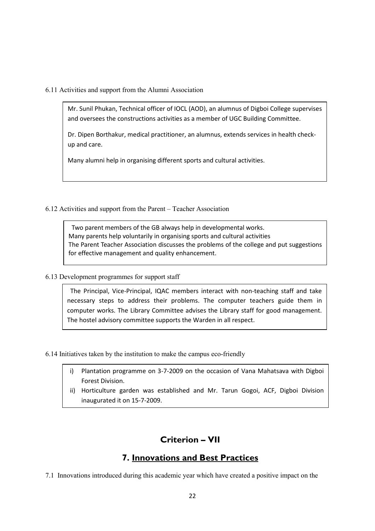#### 6.11 Activities and support from the Alumni Association

Mr. Sunil Phukan, Technical officer of IOCL (AOD), an alumnus of Digboi College supervises and oversees the constructions activities as a member of UGC Building Committee.

Dr. Dipen Borthakur, medical practitioner, an alumnus, extends services in health checkup and care.

Many alumni help in organising different sports and cultural activities.

6.12 Activities and support from the Parent – Teacher Association

 Two parent members of the GB always help in developmental works. Many parents help voluntarily in organising sports and cultural activities The Parent Teacher Association discusses the problems of the college and put suggestions for effective management and quality enhancement.

6.13 Development programmes for support staff

 The Principal, Vice-Principal, IQAC members interact with non-teaching staff and take necessary steps to address their problems. The computer teachers guide them in computer works. The Library Committee advises the Library staff for good management. The hostel advisory committee supports the Warden in all respect.

6.14 Initiatives taken by the institution to make the campus eco-friendly

- i) Plantation programme on 3-7-2009 on the occasion of Vana Mahatsava with Digboi Forest Division.
- ii) Horticulture garden was established and Mr. Tarun Gogoi, ACF, Digboi Division inaugurated it on 15-7-2009.

### **Criterion – VII**

### **7. Innovations and Best Practices**

7.1 Innovations introduced during this academic year which have created a positive impact on the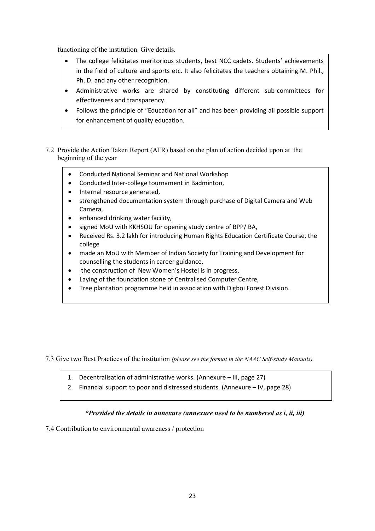functioning of the institution. Give details.

- The college felicitates meritorious students, best NCC cadets. Students' achievements in the field of culture and sports etc. It also felicitates the teachers obtaining M. Phil., Ph. D. and any other recognition.
- Administrative works are shared by constituting different sub-committees for effectiveness and transparency.
- Follows the principle of "Education for all" and has been providing all possible support for enhancement of quality education.
- 7.2 Provide the Action Taken Report (ATR) based on the plan of action decided upon at the beginning of the year
	- Conducted National Seminar and National Workshop
	- Conducted Inter-college tournament in Badminton,
	- Internal resource generated,
	- strengthened documentation system through purchase of Digital Camera and Web Camera,
	- enhanced drinking water facility,
	- signed MoU with KKHSOU for opening study centre of BPP/ BA,
	- Received Rs. 3.2 lakh for introducing Human Rights Education Certificate Course, the college
	- made an MoU with Member of Indian Society for Training and Development for counselling the students in career guidance,
	- the construction of New Women's Hostel is in progress,
	- Laying of the foundation stone of Centralised Computer Centre,
	- Tree plantation programme held in association with Digboi Forest Division.

7.3 Give two Best Practices of the institution *(please see the format in the NAAC Self-study Manuals)*

- 1. Decentralisation of administrative works. (Annexure III, page 27)
- 2. Financial support to poor and distressed students. (Annexure IV, page 28)

#### *\*Provided the details in annexure (annexure need to be numbered as i, ii, iii)*

7.4 Contribution to environmental awareness / protection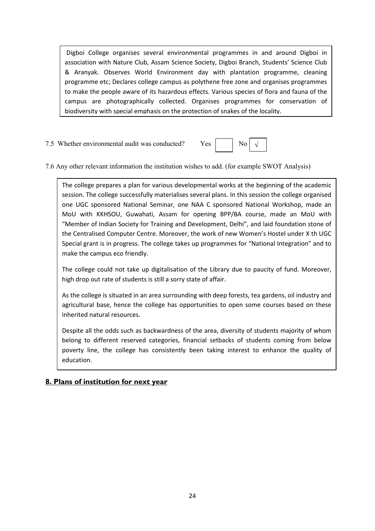Digboi College organises several environmental programmes in and around Digboi in association with Nature Club, Assam Science Society, Digboi Branch, Students' Science Club & Aranyak. Observes World Environment day with plantation programme, cleaning programme etc; Declares college campus as polythene free zone and organises programmes to make the people aware of its hazardous effects. Various species of flora and fauna of the campus are photographically collected. Organises programmes for conservation of biodiversity with special emphasis on the protection of snakes of the locality.

7.5 Whether environmental audit was conducted? Yes No



7.6 Any other relevant information the institution wishes to add. (for example SWOT Analysis)

The college prepares a plan for various developmental works at the beginning of the academic session. The college successfully materialises several plans. In this session the college organised one UGC sponsored National Seminar, one NAA C sponsored National Workshop, made an MoU with KKHSOU, Guwahati, Assam for opening BPP/BA course, made an MoU with "Member of Indian Society for Training and Development, Delhi", and laid foundation stone of the Centralised Computer Centre. Moreover, the work of new Women's Hostel under X th UGC Special grant is in progress. The college takes up programmes for "National Integration" and to make the campus eco friendly.

The college could not take up digitalisation of the Library due to paucity of fund. Moreover, high drop out rate of students is still a sorry state of affair.

As the college is situated in an area surrounding with deep forests, tea gardens, oil industry and agricultural base, hence the college has opportunities to open some courses based on these inherited natural resources.

Despite all the odds such as backwardness of the area, diversity of students majority of whom belong to different reserved categories, financial setbacks of students coming from below poverty line, the college has consistently been taking interest to enhance the quality of education.

#### **8. Plans of institution for next year**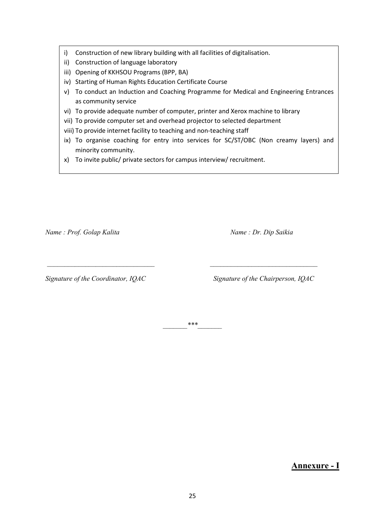- i) Construction of new library building with all facilities of digitalisation.
- ii) Construction of language laboratory
- iii) Opening of KKHSOU Programs (BPP, BA)
- iv) Starting of Human Rights Education Certificate Course
- v) To conduct an Induction and Coaching Programme for Medical and Engineering Entrances as community service
- vi) To provide adequate number of computer, printer and Xerox machine to library
- vii) To provide computer set and overhead projector to selected department
- viii) To provide internet facility to teaching and non-teaching staff
- ix) To organise coaching for entry into services for SC/ST/OBC (Non creamy layers) and minority community.
- x) To invite public/ private sectors for campus interview/ recruitment.

*Name : Prof. Golap Kalita Mame : Dr. Dip Saikia Name : Dr. Dip Saikia* 

*Signature of the Coordinator, IQAC Signature of the Chairperson, IQAC* 

 $***$ 

 *\_\_\_\_\_\_\_\_\_\_\_\_\_\_\_\_\_\_\_\_\_\_\_\_\_\_\_\_\_\_\_ \_\_\_\_\_\_\_\_\_\_\_\_\_\_\_\_\_\_\_\_\_\_\_\_\_\_\_\_\_\_\_* 

**Annexure - I**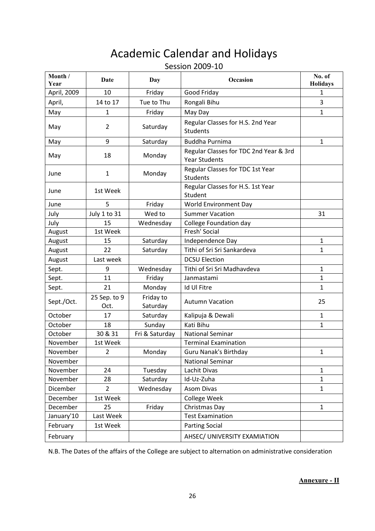# Academic Calendar and Holidays

#### Session 2009-10

| Month /<br>Year | Date                 | Day                   | Occasion                                                       | No. of<br><b>Holidays</b> |
|-----------------|----------------------|-----------------------|----------------------------------------------------------------|---------------------------|
| April, 2009     | 10                   | Friday                | Good Friday                                                    | 1                         |
| April,          | 14 to 17             | Tue to Thu            | Rongali Bihu                                                   | 3                         |
| May             | $\mathbf{1}$         | Friday                | May Day                                                        | $\mathbf{1}$              |
| May             | $\overline{2}$       | Saturday              | Regular Classes for H.S. 2nd Year<br><b>Students</b>           |                           |
| May             | 9                    | Saturday              | <b>Buddha Purnima</b>                                          | 1                         |
| May             | 18                   | Monday                | Regular Classes for TDC 2nd Year & 3rd<br><b>Year Students</b> |                           |
| June            | $\mathbf{1}$         | Monday                | Regular Classes for TDC 1st Year<br><b>Students</b>            |                           |
| June            | 1st Week             |                       | Regular Classes for H.S. 1st Year<br>Student                   |                           |
| June            | 5                    | Friday                | World Environment Day                                          |                           |
| July            | July 1 to 31         | Wed to                | <b>Summer Vacation</b>                                         | 31                        |
| July            | 15                   | Wednesday             | College Foundation day                                         |                           |
| August          | 1st Week             |                       | Fresh' Social                                                  |                           |
| August          | 15                   | Saturday              | Independence Day                                               | $\mathbf{1}$              |
| August          | 22                   | Saturday              | Tithi of Sri Sri Sankardeva                                    | 1                         |
| August          | Last week            |                       | <b>DCSU Election</b>                                           |                           |
| Sept.           | 9                    | Wednesday             | Tithi of Sri Sri Madhavdeva                                    | $\mathbf{1}$              |
| Sept.           | 11                   | Friday                | Janmastami                                                     | $\mathbf{1}$              |
| Sept.           | 21                   | Monday                | Id Ul Fitre                                                    | $\mathbf{1}$              |
| Sept./Oct.      | 25 Sep. to 9<br>Oct. | Friday to<br>Saturday | <b>Autumn Vacation</b>                                         | 25                        |
| October         | 17                   | Saturday              | Kalipuja & Dewali                                              | $\mathbf{1}$              |
| October         | 18                   | Sunday                | Kati Bihu                                                      | 1                         |
| October         | 30 & 31              | Fri & Saturday        | <b>National Seminar</b>                                        |                           |
| November        | 1st Week             |                       | <b>Terminal Examination</b>                                    |                           |
| November        | $\overline{2}$       | Monday                | Guru Nanak's Birthday                                          | 1                         |
| November        |                      |                       | <b>National Seminar</b>                                        |                           |
| November        | 24                   | Tuesday               | Lachit Divas                                                   | $\mathbf{1}$              |
| November        | 28                   | Saturday              | Id-Uz-Zuha                                                     | 1                         |
| Dicember        | $\overline{2}$       | Wednesday             | <b>Asom Divas</b>                                              | $\mathbf{1}$              |
| December        | 1st Week             |                       | College Week                                                   |                           |
| December        | 25                   | Friday                | Christmas Day                                                  | $\mathbf{1}$              |
| January'10      | Last Week            |                       | <b>Test Examination</b>                                        |                           |
| February        | 1st Week             |                       | <b>Parting Social</b>                                          |                           |
| February        |                      |                       | AHSEC/ UNIVERSITY EXAMIATION                                   |                           |

N.B. The Dates of the affairs of the College are subject to alternation on administrative consideration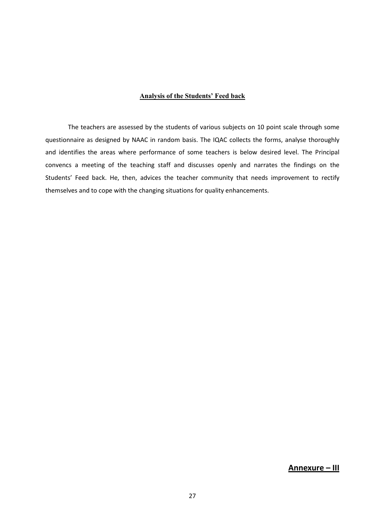#### **Analysis of the Students' Feed back**

The teachers are assessed by the students of various subjects on 10 point scale through some questionnaire as designed by NAAC in random basis. The IQAC collects the forms, analyse thoroughly and identifies the areas where performance of some teachers is below desired level. The Principal convencs a meeting of the teaching staff and discusses openly and narrates the findings on the Students' Feed back. He, then, advices the teacher community that needs improvement to rectify themselves and to cope with the changing situations for quality enhancements.

**Annexure – III**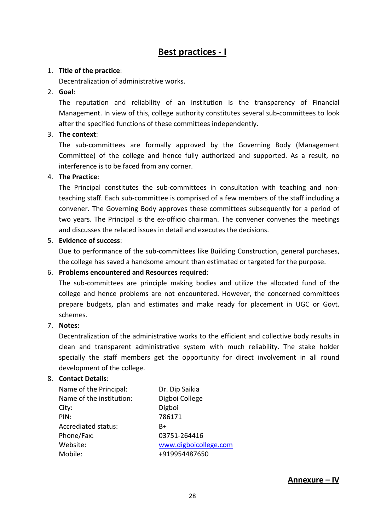### **Best practices - I**

#### 1. **Title of the practice**:

Decentralization of administrative works.

#### 2. **Goal**:

The reputation and reliability of an institution is the transparency of Financial Management. In view of this, college authority constitutes several sub-committees to look after the specified functions of these committees independently.

#### 3. **The context**:

The sub-committees are formally approved by the Governing Body (Management Committee) of the college and hence fully authorized and supported. As a result, no interference is to be faced from any corner.

#### 4. **The Practice**:

The Principal constitutes the sub-committees in consultation with teaching and nonteaching staff. Each sub-committee is comprised of a few members of the staff including a convener. The Governing Body approves these committees subsequently for a period of two years. The Principal is the ex-officio chairman. The convener convenes the meetings and discusses the related issues in detail and executes the decisions.

#### 5. **Evidence of success**:

Due to performance of the sub-committees like Building Construction, general purchases, the college has saved a handsome amount than estimated or targeted for the purpose.

#### 6. **Problems encountered and Resources required**:

The sub-committees are principle making bodies and utilize the allocated fund of the college and hence problems are not encountered. However, the concerned committees prepare budgets, plan and estimates and make ready for placement in UGC or Govt. schemes.

#### 7. **Notes:**

Decentralization of the administrative works to the efficient and collective body results in clean and transparent administrative system with much reliability. The stake holder specially the staff members get the opportunity for direct involvement in all round development of the college.

#### 8. **Contact Details**:

| Name of the Principal:   | Dr. Dip Saikia        |
|--------------------------|-----------------------|
| Name of the institution: | Digboi College        |
| City:                    | Digboi                |
| PIN:                     | 786171                |
| Accrediated status:      | B+                    |
| Phone/Fax:               | 03751-264416          |
| Website:                 | www.digboicollege.com |
| Mobile:                  | +919954487650         |

**Annexure – IV**